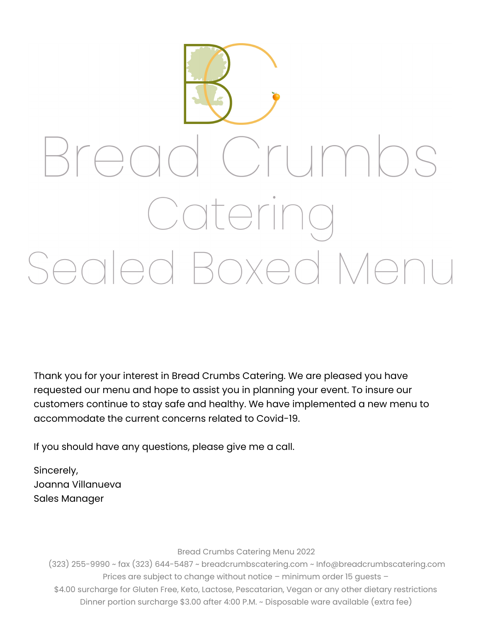

Thank you for your interest in Bread Crumbs Catering. We are pleased you have requested our menu and hope to assist you in planning your event. To insure our customers continue to stay safe and healthy. We have implemented a new menu to accommodate the current concerns related to Covid-19.

If you should have any questions, please give me a call.

Sincerely, Joanna Villanueva Sales Manager

Bread Crumbs Catering Menu 2022

 (323) 255-9990 ~ fax (323) 644-5487 ~ breadcrumbscatering.com ~ Info@breadcrumbscatering.com Prices are subject to change without notice – minimum order 15 guests – \$4.00 surcharge for Gluten Free, Keto, Lactose, Pescatarian, Vegan or any other dietary restrictions Dinner portion surcharge \$3.00 after 4:00 P.M. ~ Disposable ware available (extra fee)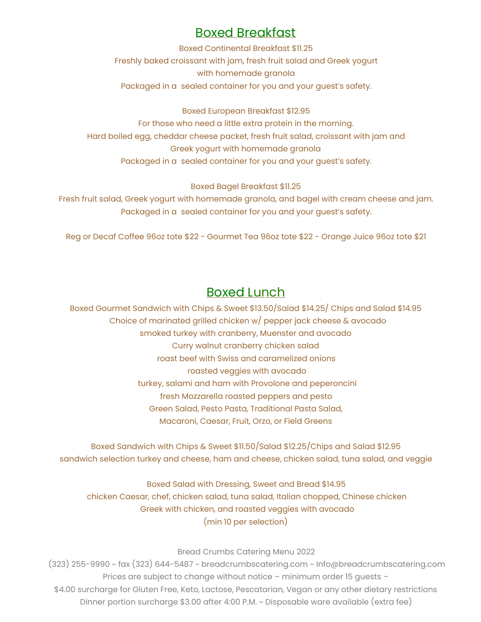## Boxed Breakfast

Boxed Continental Breakfast \$11.25 Freshly baked croissant with jam, fresh fruit salad and Greek yogurt with homemade granola Packaged in a sealed container for you and your guest's safety.

Boxed European Breakfast \$12.95 For those who need a little extra protein in the morning. Hard boiled egg, cheddar cheese packet, fresh fruit salad, croissant with jam and Greek yogurt with homemade granola Packaged in a sealed container for you and your guest's safety.

Boxed Bagel Breakfast \$11.25

Fresh fruit salad, Greek yogurt with homemade granola, and bagel with cream cheese and jam. Packaged in a sealed container for you and your guest's safety.

Reg or Decaf Coffee 96oz tote \$22 - Gourmet Tea 96oz tote \$22 - Orange Juice 96oz tote \$21

## Boxed Lunch

Boxed Gourmet Sandwich with Chips & Sweet \$13.50/Salad \$14.25/ Chips and Salad \$14.95 Choice of marinated grilled chicken w/ pepper jack cheese & avocado smoked turkey with cranberry, Muenster and avocado Curry walnut cranberry chicken salad roast beef with Swiss and caramelized onions roasted veggies with avocado turkey, salami and ham with Provolone and peperoncini fresh Mozzarella roasted peppers and pesto Green Salad, Pesto Pasta, Traditional Pasta Salad, Macaroni, Caesar, Fruit, Orzo, or Field Greens

Boxed Sandwich with Chips & Sweet \$11.50/Salad \$12.25/Chips and Salad \$12.95 sandwich selection turkey and cheese, ham and cheese, chicken salad, tuna salad, and veggie

Boxed Salad with Dressing, Sweet and Bread \$14.95 chicken Caesar, chef, chicken salad, tuna salad, Italian chopped, Chinese chicken Greek with chicken, and roasted veggies with avocado (min 10 per selection)

## Bread Crumbs Catering Menu 2022

 (323) 255-9990 ~ fax (323) 644-5487 ~ breadcrumbscatering.com ~ Info@breadcrumbscatering.com Prices are subject to change without notice – minimum order 15 guests – \$4.00 surcharge for Gluten Free, Keto, Lactose, Pescatarian, Vegan or any other dietary restrictions Dinner portion surcharge \$3.00 after 4:00 P.M. ~ Disposable ware available (extra fee)